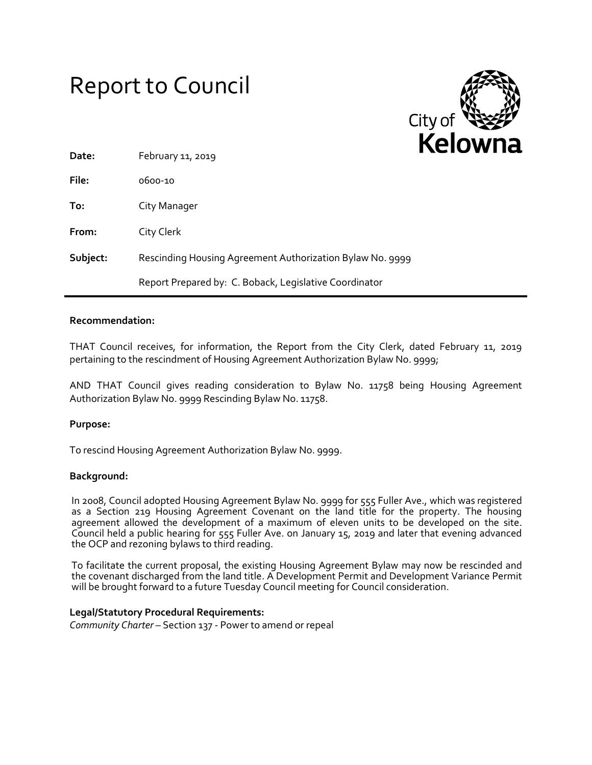# Report to Council



| Date:    | February 11, 2019                                         |
|----------|-----------------------------------------------------------|
| File:    | 0600-10                                                   |
| To:      | City Manager                                              |
| From:    | City Clerk                                                |
| Subject: | Rescinding Housing Agreement Authorization Bylaw No. 9999 |
|          | Report Prepared by: C. Boback, Legislative Coordinator    |

## **Recommendation:**

THAT Council receives, for information, the Report from the City Clerk, dated February 11, 2019 pertaining to the rescindment of Housing Agreement Authorization Bylaw No. 9999;

AND THAT Council gives reading consideration to Bylaw No. 11758 being Housing Agreement Authorization Bylaw No. 9999 Rescinding Bylaw No. 11758.

## **Purpose:**

To rescind Housing Agreement Authorization Bylaw No. 9999.

### **Background:**

In 2008, Council adopted Housing Agreement Bylaw No. 9999 for 555 Fuller Ave., which was registered as a Section 219 Housing Agreement Covenant on the land title for the property. The housing agreement allowed the development of a maximum of eleven units to be developed on the site. Council held a public hearing for 555 Fuller Ave. on January 15, 2019 and later that evening advanced the OCP and rezoning bylaws to third reading.

To facilitate the current proposal, the existing Housing Agreement Bylaw may now be rescinded and the covenant discharged from the land title. A Development Permit and Development Variance Permit will be brought forward to a future Tuesday Council meeting for Council consideration.

### **Legal/Statutory Procedural Requirements:**

*Community Charter* – Section 137 - Power to amend or repeal